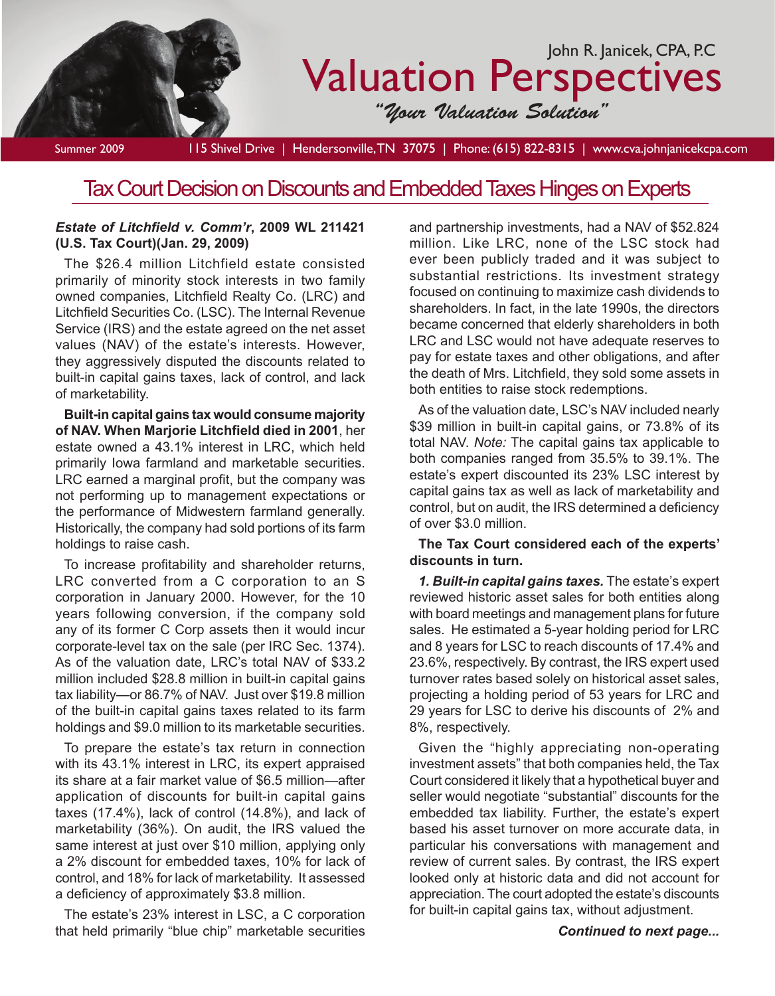

Tax Court Decision on Discounts and Embedded Taxes Hinges on Experts

#### *Estate of Litchfield v. Comm'r***, 2009 WL 211421 (U.S. Tax Court)(Jan. 29, 2009)**

The \$26.4 million Litchfield estate consisted primarily of minority stock interests in two family owned companies, Litchfield Realty Co. (LRC) and Litchfield Securities Co. (LSC). The Internal Revenue Service (IRS) and the estate agreed on the net asset values (NAV) of the estate's interests. However, they aggressively disputed the discounts related to built-in capital gains taxes, lack of control, and lack of marketability.

**Built-in capital gains tax would consume majority of NAV. When Marjorie Litchfield died in 2001**, her estate owned a 43.1% interest in LRC, which held primarily Iowa farmland and marketable securities. LRC earned a marginal profit, but the company was not performing up to management expectations or the performance of Midwestern farmland generally. Historically, the company had sold portions of its farm holdings to raise cash.

To increase profitability and shareholder returns, LRC converted from a C corporation to an S corporation in January 2000. However, for the 10 years following conversion, if the company sold any of its former C Corp assets then it would incur corporate-level tax on the sale (per IRC Sec. 1374). As of the valuation date, LRC's total NAV of \$33.2 million included \$28.8 million in built-in capital gains tax liability—or 86.7% of NAV. Just over \$19.8 million of the built-in capital gains taxes related to its farm holdings and \$9.0 million to its marketable securities.

To prepare the estate's tax return in connection with its 43.1% interest in LRC, its expert appraised its share at a fair market value of \$6.5 million—after application of discounts for built-in capital gains taxes (17.4%), lack of control (14.8%), and lack of marketability (36%). On audit, the IRS valued the same interest at just over \$10 million, applying only a 2% discount for embedded taxes, 10% for lack of control, and 18% for lack of marketability. It assessed a deficiency of approximately \$3.8 million.

The estate's 23% interest in LSC, a C corporation that held primarily "blue chip" marketable securities

and partnership investments, had a NAV of \$52.824 million. Like LRC, none of the LSC stock had ever been publicly traded and it was subject to substantial restrictions. Its investment strategy focused on continuing to maximize cash dividends to shareholders. In fact, in the late 1990s, the directors became concerned that elderly shareholders in both LRC and LSC would not have adequate reserves to pay for estate taxes and other obligations, and after the death of Mrs. Litchfield, they sold some assets in both entities to raise stock redemptions.

As of the valuation date, LSC's NAV included nearly \$39 million in built-in capital gains, or 73.8% of its total NAV. *Note:* The capital gains tax applicable to both companies ranged from 35.5% to 39.1%. The estate's expert discounted its 23% LSC interest by capital gains tax as well as lack of marketability and control, but on audit, the IRS determined a deficiency of over \$3.0 million.

### **The Tax Court considered each of the experts' discounts in turn.**

*1. Built-in capital gains taxes.* The estate's expert reviewed historic asset sales for both entities along with board meetings and management plans for future sales. He estimated a 5-year holding period for LRC and 8 years for LSC to reach discounts of 17.4% and 23.6%, respectively. By contrast, the IRS expert used turnover rates based solely on historical asset sales, projecting a holding period of 53 years for LRC and 29 years for LSC to derive his discounts of 2% and 8%, respectively.

Given the "highly appreciating non-operating investment assets" that both companies held, the Tax Court considered it likely that a hypothetical buyer and seller would negotiate "substantial" discounts for the embedded tax liability. Further, the estate's expert based his asset turnover on more accurate data, in particular his conversations with management and review of current sales. By contrast, the IRS expert looked only at historic data and did not account for appreciation. The court adopted the estate's discounts for built-in capital gains tax, without adjustment.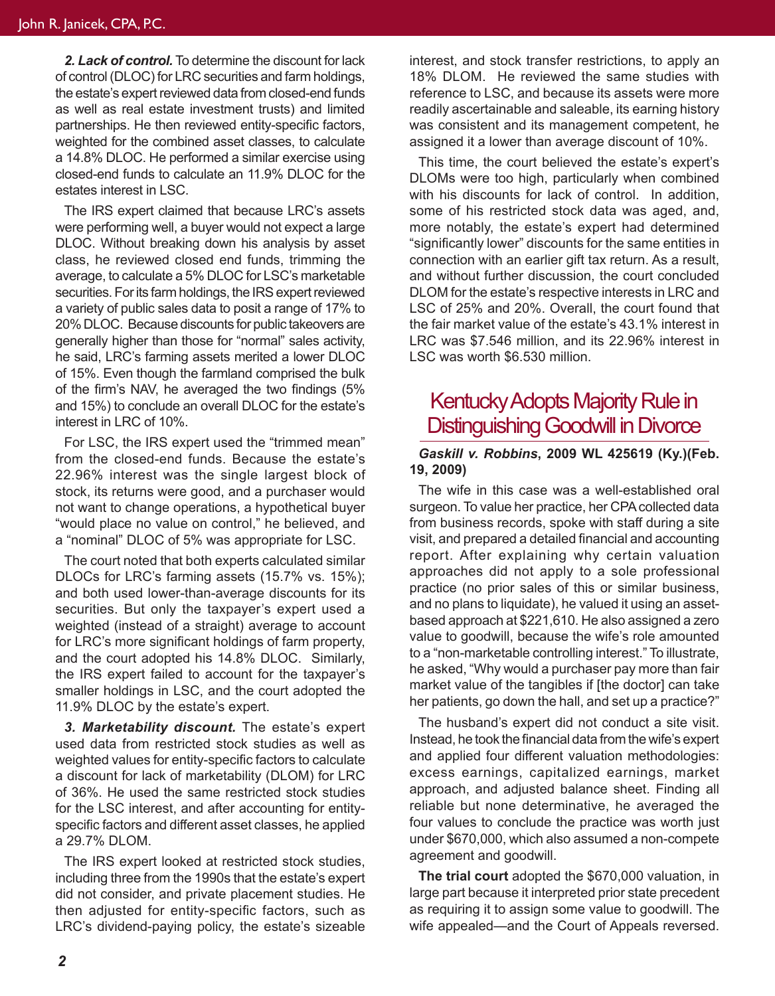*2. Lack of control.* To determine the discount for lack of control (DLOC) for LRC securities and farm holdings, the estate's expert reviewed data from closed-end funds as well as real estate investment trusts) and limited partnerships. He then reviewed entity-specific factors, weighted for the combined asset classes, to calculate a 14.8% DLOC. He performed a similar exercise using closed-end funds to calculate an 11.9% DLOC for the estates interest in LSC.

The IRS expert claimed that because LRC's assets were performing well, a buyer would not expect a large DLOC. Without breaking down his analysis by asset class, he reviewed closed end funds, trimming the average, to calculate a 5% DLOC for LSC's marketable securities. For its farm holdings, the IRS expert reviewed a variety of public sales data to posit a range of 17% to 20% DLOC. Because discounts for public takeovers are generally higher than those for "normal" sales activity, he said, LRC's farming assets merited a lower DLOC of 15%. Even though the farmland comprised the bulk of the firm's NAV, he averaged the two findings (5% and 15%) to conclude an overall DLOC for the estate's interest in LRC of 10%.

For LSC, the IRS expert used the "trimmed mean" from the closed-end funds. Because the estate's 22.96% interest was the single largest block of stock, its returns were good, and a purchaser would not want to change operations, a hypothetical buyer "would place no value on control," he believed, and a "nominal" DLOC of 5% was appropriate for LSC.

The court noted that both experts calculated similar DLOCs for LRC's farming assets (15.7% vs. 15%); and both used lower-than-average discounts for its securities. But only the taxpayer's expert used a weighted (instead of a straight) average to account for LRC's more significant holdings of farm property, and the court adopted his 14.8% DLOC. Similarly, the IRS expert failed to account for the taxpayer's smaller holdings in LSC, and the court adopted the 11.9% DLOC by the estate's expert.

*3. Marketability discount.* The estate's expert used data from restricted stock studies as well as weighted values for entity-specific factors to calculate a discount for lack of marketability (DLOM) for LRC of 36%. He used the same restricted stock studies for the LSC interest, and after accounting for entityspecific factors and different asset classes, he applied a 29.7% DLOM.

The IRS expert looked at restricted stock studies, including three from the 1990s that the estate's expert did not consider, and private placement studies. He then adjusted for entity-specific factors, such as LRC's dividend-paying policy, the estate's sizeable

interest, and stock transfer restrictions, to apply an 18% DLOM. He reviewed the same studies with reference to LSC, and because its assets were more readily ascertainable and saleable, its earning history was consistent and its management competent, he assigned it a lower than average discount of 10%.

This time, the court believed the estate's expert's DLOMs were too high, particularly when combined with his discounts for lack of control. In addition, some of his restricted stock data was aged, and, more notably, the estate's expert had determined "significantly lower" discounts for the same entities in connection with an earlier gift tax return. As a result, and without further discussion, the court concluded DLOM for the estate's respective interests in LRC and LSC of 25% and 20%. Overall, the court found that the fair market value of the estate's 43.1% interest in LRC was \$7.546 million, and its 22.96% interest in LSC was worth \$6.530 million.

# Kentucky Adopts Majority Rule in Distinguishing Goodwill in Divorce

#### *Gaskill v. Robbins***, 2009 WL 425619 (Ky.)(Feb. 19, 2009)**

The wife in this case was a well-established oral surgeon. To value her practice, her CPA collected data from business records, spoke with staff during a site visit, and prepared a detailed financial and accounting report. After explaining why certain valuation approaches did not apply to a sole professional practice (no prior sales of this or similar business, and no plans to liquidate), he valued it using an assetbased approach at \$221,610. He also assigned a zero value to goodwill, because the wife's role amounted to a "non-marketable controlling interest." To illustrate, he asked, "Why would a purchaser pay more than fair market value of the tangibles if [the doctor] can take her patients, go down the hall, and set up a practice?"

The husband's expert did not conduct a site visit. Instead, he took the financial data from the wife's expert and applied four different valuation methodologies: excess earnings, capitalized earnings, market approach, and adjusted balance sheet. Finding all reliable but none determinative, he averaged the four values to conclude the practice was worth just under \$670,000, which also assumed a non-compete agreement and goodwill.

**The trial court** adopted the \$670,000 valuation, in large part because it interpreted prior state precedent as requiring it to assign some value to goodwill. The wife appealed—and the Court of Appeals reversed.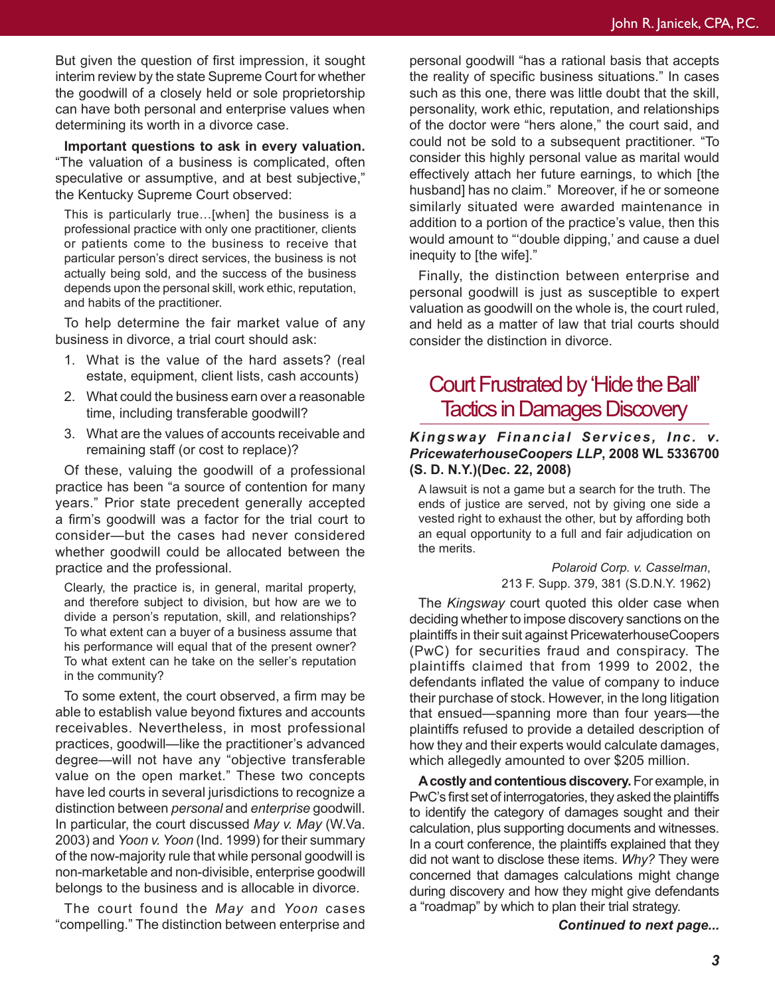But given the question of first impression, it sought interim review by the state Supreme Court for whether the goodwill of a closely held or sole proprietorship can have both personal and enterprise values when determining its worth in a divorce case.

**Important questions to ask in every valuation.**  "The valuation of a business is complicated, often speculative or assumptive, and at best subjective," the Kentucky Supreme Court observed:

This is particularly true…[when] the business is a professional practice with only one practitioner, clients or patients come to the business to receive that particular person's direct services, the business is not actually being sold, and the success of the business depends upon the personal skill, work ethic, reputation, and habits of the practitioner.

To help determine the fair market value of any business in divorce, a trial court should ask:

- 1. What is the value of the hard assets? (real estate, equipment, client lists, cash accounts)
- 2. What could the business earn over a reasonable time, including transferable goodwill?
- 3. What are the values of accounts receivable and remaining staff (or cost to replace)?

Of these, valuing the goodwill of a professional practice has been "a source of contention for many years." Prior state precedent generally accepted a firm's goodwill was a factor for the trial court to consider—but the cases had never considered whether goodwill could be allocated between the practice and the professional.

Clearly, the practice is, in general, marital property, and therefore subject to division, but how are we to divide a person's reputation, skill, and relationships? To what extent can a buyer of a business assume that his performance will equal that of the present owner? To what extent can he take on the seller's reputation in the community?

To some extent, the court observed, a firm may be able to establish value beyond fixtures and accounts receivables. Nevertheless, in most professional practices, goodwill—like the practitioner's advanced degree—will not have any "objective transferable value on the open market." These two concepts have led courts in several jurisdictions to recognize a distinction between *personal* and *enterprise* goodwill. In particular, the court discussed *May v. May* (W.Va. 2003) and *Yoon v. Yoon* (Ind. 1999) for their summary of the now-majority rule that while personal goodwill is non-marketable and non-divisible, enterprise goodwill belongs to the business and is allocable in divorce.

The court found the *May* and *Yoon* cases "compelling." The distinction between enterprise and

personal goodwill "has a rational basis that accepts the reality of specific business situations." In cases such as this one, there was little doubt that the skill, personality, work ethic, reputation, and relationships of the doctor were "hers alone," the court said, and could not be sold to a subsequent practitioner. "To consider this highly personal value as marital would effectively attach her future earnings, to which [the husband] has no claim." Moreover, if he or someone similarly situated were awarded maintenance in addition to a portion of the practice's value, then this would amount to "'double dipping,' and cause a duel inequity to [the wife]."

Finally, the distinction between enterprise and personal goodwill is just as susceptible to expert valuation as goodwill on the whole is, the court ruled, and held as a matter of law that trial courts should consider the distinction in divorce.

# Court Frustrated by 'Hide the Ball' Tactics in Damages Discovery

#### *Kingsway Financial Services, Inc. v. PricewaterhouseCoopers LLP***, 2008 WL 5336700 (S. D. N.Y.)(Dec. 22, 2008)**

A lawsuit is not a game but a search for the truth. The ends of justice are served, not by giving one side a vested right to exhaust the other, but by affording both an equal opportunity to a full and fair adjudication on the merits.

> *Polaroid Corp. v. Casselman*, 213 F. Supp. 379, 381 (S.D.N.Y. 1962)

The *Kingsway* court quoted this older case when deciding whether to impose discovery sanctions on the plaintiffs in their suit against PricewaterhouseCoopers (PwC) for securities fraud and conspiracy. The plaintiffs claimed that from 1999 to 2002, the defendants inflated the value of company to induce their purchase of stock. However, in the long litigation that ensued—spanning more than four years—the plaintiffs refused to provide a detailed description of how they and their experts would calculate damages, which allegedly amounted to over \$205 million.

**A costly and contentious discovery.** For example, in PwC's first set of interrogatories, they asked the plaintiffs to identify the category of damages sought and their calculation, plus supporting documents and witnesses. In a court conference, the plaintiffs explained that they did not want to disclose these items. *Why?* They were concerned that damages calculations might change during discovery and how they might give defendants a "roadmap" by which to plan their trial strategy.

*Continued to next page...*